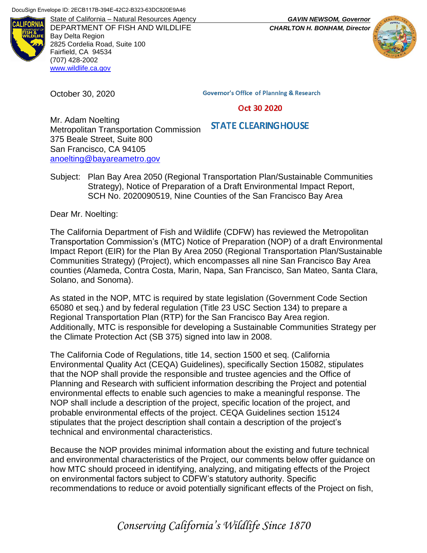

DEPARTMENT OF FISH AND WILDLIFE *CHARLTON H. BONHAM, Director* Bay Delta Region 2825 Cordelia Road, Suite 100 Fairfield, CA 94534 (707) 428-2002 [www.wildlife.ca.gov](http://www.wildlife.ca.gov/)

October 30, 2020

**Governor's Office of Planning & Research** 

#### Oct 30 2020

#### **STATE CLEARING HOUSE**

Mr. Adam Noelting Metropolitan Transportation Commission 375 Beale Street, Suite 800 San Francisco, CA 94105 [anoelting@bayareametro.gov](mailto:anoelting@bayareametro.gov)

Subject: Plan Bay Area 2050 (Regional Transportation Plan/Sustainable Communities Strategy), Notice of Preparation of a Draft Environmental Impact Report, SCH No. 2020090519, Nine Counties of the San Francisco Bay Area

Dear Mr. Noelting:

The California Department of Fish and Wildlife (CDFW) has reviewed the Metropolitan Transportation Commission's (MTC) Notice of Preparation (NOP) of a draft Environmental Impact Report (EIR) for the Plan By Area 2050 (Regional Transportation Plan/Sustainable Communities Strategy) (Project), which encompasses all nine San Francisco Bay Area counties (Alameda, Contra Costa, Marin, Napa, San Francisco, San Mateo, Santa Clara, Solano, and Sonoma).

As stated in the NOP, MTC is required by state legislation (Government Code Section 65080 et seq.) and by federal regulation (Title 23 USC Section 134) to prepare a Regional Transportation Plan (RTP) for the San Francisco Bay Area region. Additionally, MTC is responsible for developing a Sustainable Communities Strategy per the Climate Protection Act (SB 375) signed into law in 2008.

The California Code of Regulations, title 14, section 1500 et seq. (California Environmental Quality Act (CEQA) Guidelines), specifically Section 15082, stipulates that the NOP shall provide the responsible and trustee agencies and the Office of Planning and Research with sufficient information describing the Project and potential environmental effects to enable such agencies to make a meaningful response. The NOP shall include a description of the project, specific location of the project, and probable environmental effects of the project. CEQA Guidelines section 15124 stipulates that the project description shall contain a description of the project's technical and environmental characteristics.

Because the NOP provides minimal information about the existing and future technical and environmental characteristics of the Project, our comments below offer guidance on how MTC should proceed in identifying, analyzing, and mitigating effects of the Project on environmental factors subject to CDFW's statutory authority. Specific recommendations to reduce or avoid potentially significant effects of the Project on fish,

State of California – Natural Resources Agency *GAVIN NEWSOM, Governor*



# *Conserving California's Wildlife Since 1870*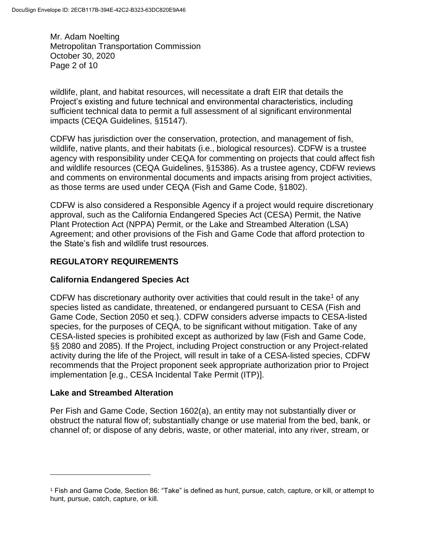Mr. Adam Noelting Metropolitan Transportation Commission October 30, 2020 Page 2 of 10

wildlife, plant, and habitat resources, will necessitate a draft EIR that details the Project's existing and future technical and environmental characteristics, including sufficient technical data to permit a full assessment of al significant environmental impacts (CEQA Guidelines, §15147).

CDFW has jurisdiction over the conservation, protection, and management of fish, wildlife, native plants, and their habitats (i.e., biological resources). CDFW is a trustee agency with responsibility under CEQA for commenting on projects that could affect fish and wildlife resources (CEQA Guidelines, §15386). As a trustee agency, CDFW reviews and comments on environmental documents and impacts arising from project activities, as those terms are used under CEQA (Fish and Game Code, §1802).

CDFW is also considered a Responsible Agency if a project would require discretionary approval, such as the California Endangered Species Act (CESA) Permit, the Native Plant Protection Act (NPPA) Permit, or the Lake and Streambed Alteration (LSA) Agreement; and other provisions of the Fish and Game Code that afford protection to the State's fish and wildlife trust resources.

# **REGULATORY REQUIREMENTS**

# **California Endangered Species Act**

CDFW has discretionary authority over activities that could result in the take<sup>1</sup> of any species listed as candidate, threatened, or endangered pursuant to CESA (Fish and Game Code, Section 2050 et seq.). CDFW considers adverse impacts to CESA-listed species, for the purposes of CEQA, to be significant without mitigation. Take of any CESA-listed species is prohibited except as authorized by law (Fish and Game Code, §§ 2080 and 2085). If the Project, including Project construction or any Project-related activity during the life of the Project, will result in take of a CESA-listed species, CDFW recommends that the Project proponent seek appropriate authorization prior to Project implementation [e.g., CESA Incidental Take Permit (ITP)].

#### **Lake and Streambed Alteration**

 $\overline{a}$ 

Per Fish and Game Code, Section 1602(a), an entity may not substantially diver or obstruct the natural flow of; substantially change or use material from the bed, bank, or channel of; or dispose of any debris, waste, or other material, into any river, stream, or

<sup>1</sup> Fish and Game Code, Section 86: "Take" is defined as hunt, pursue, catch, capture, or kill, or attempt to hunt, pursue, catch, capture, or kill.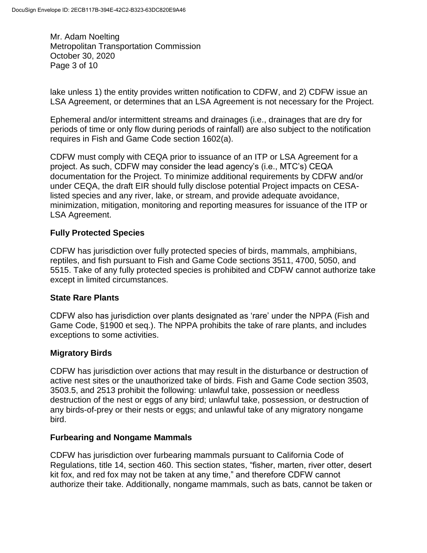Mr. Adam Noelting Metropolitan Transportation Commission October 30, 2020 Page 3 of 10

lake unless 1) the entity provides written notification to CDFW, and 2) CDFW issue an LSA Agreement, or determines that an LSA Agreement is not necessary for the Project.

Ephemeral and/or intermittent streams and drainages (i.e., drainages that are dry for periods of time or only flow during periods of rainfall) are also subject to the notification requires in Fish and Game Code section 1602(a).

CDFW must comply with CEQA prior to issuance of an ITP or LSA Agreement for a project. As such, CDFW may consider the lead agency's (i.e., MTC's) CEQA documentation for the Project. To minimize additional requirements by CDFW and/or under CEQA, the draft EIR should fully disclose potential Project impacts on CESAlisted species and any river, lake, or stream, and provide adequate avoidance, minimization, mitigation, monitoring and reporting measures for issuance of the ITP or LSA Agreement.

# **Fully Protected Species**

CDFW has jurisdiction over fully protected species of birds, mammals, amphibians, reptiles, and fish pursuant to Fish and Game Code sections 3511, 4700, 5050, and 5515. Take of any fully protected species is prohibited and CDFW cannot authorize take except in limited circumstances.

#### **State Rare Plants**

CDFW also has jurisdiction over plants designated as 'rare' under the NPPA (Fish and Game Code, §1900 et seq.). The NPPA prohibits the take of rare plants, and includes exceptions to some activities.

#### **Migratory Birds**

CDFW has jurisdiction over actions that may result in the disturbance or destruction of active nest sites or the unauthorized take of birds. Fish and Game Code section 3503, 3503.5, and 2513 prohibit the following: unlawful take, possession or needless destruction of the nest or eggs of any bird; unlawful take, possession, or destruction of any birds-of-prey or their nests or eggs; and unlawful take of any migratory nongame bird.

#### **Furbearing and Nongame Mammals**

CDFW has jurisdiction over furbearing mammals pursuant to California Code of Regulations, title 14, section 460. This section states, "fisher, marten, river otter, desert kit fox, and red fox may not be taken at any time," and therefore CDFW cannot authorize their take. Additionally, nongame mammals, such as bats, cannot be taken or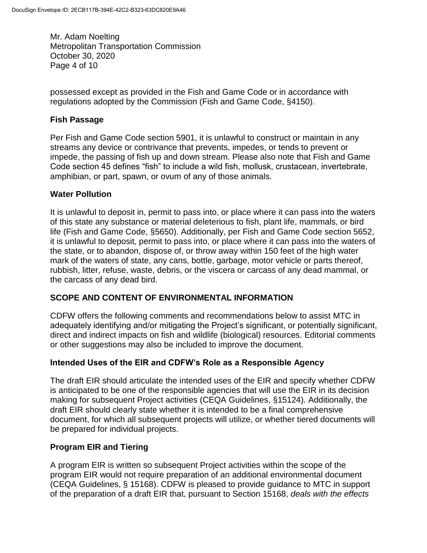Mr. Adam Noelting Metropolitan Transportation Commission October 30, 2020 Page 4 of 10

possessed except as provided in the Fish and Game Code or in accordance with regulations adopted by the Commission (Fish and Game Code, §4150).

### **Fish Passage**

Per Fish and Game Code section 5901, it is unlawful to construct or maintain in any streams any device or contrivance that prevents, impedes, or tends to prevent or impede, the passing of fish up and down stream. Please also note that Fish and Game Code section 45 defines "fish" to include a wild fish, mollusk, crustacean, invertebrate, amphibian, or part, spawn, or ovum of any of those animals.

## **Water Pollution**

It is unlawful to deposit in, permit to pass into, or place where it can pass into the waters of this state any substance or material deleterious to fish, plant life, mammals, or bird life (Fish and Game Code, §5650). Additionally, per Fish and Game Code section 5652, it is unlawful to deposit, permit to pass into, or place where it can pass into the waters of the state, or to abandon, dispose of, or throw away within 150 feet of the high water mark of the waters of state, any cans, bottle, garbage, motor vehicle or parts thereof, rubbish, litter, refuse, waste, debris, or the viscera or carcass of any dead mammal, or the carcass of any dead bird.

# **SCOPE AND CONTENT OF ENVIRONMENTAL INFORMATION**

CDFW offers the following comments and recommendations below to assist MTC in adequately identifying and/or mitigating the Project's significant, or potentially significant, direct and indirect impacts on fish and wildlife (biological) resources. Editorial comments or other suggestions may also be included to improve the document.

#### **Intended Uses of the EIR and CDFW's Role as a Responsible Agency**

The draft EIR should articulate the intended uses of the EIR and specify whether CDFW is anticipated to be one of the responsible agencies that will use the EIR in its decision making for subsequent Project activities (CEQA Guidelines, §15124). Additionally, the draft EIR should clearly state whether it is intended to be a final comprehensive document, for which all subsequent projects will utilize, or whether tiered documents will be prepared for individual projects.

#### **Program EIR and Tiering**

A program EIR is written so subsequent Project activities within the scope of the program EIR would not require preparation of an additional environmental document (CEQA Guidelines, § 15168). CDFW is pleased to provide guidance to MTC in support of the preparation of a draft EIR that, pursuant to Section 15168, *deals with the effects*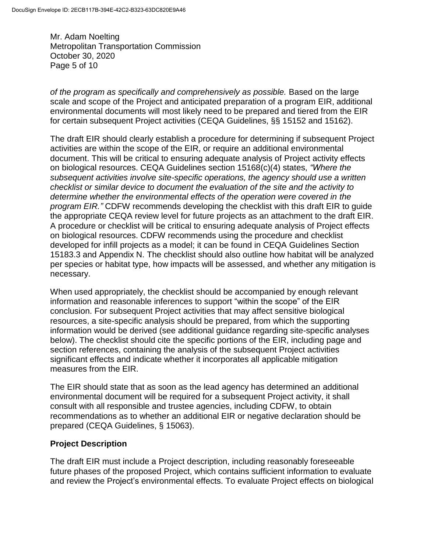Mr. Adam Noelting Metropolitan Transportation Commission October 30, 2020 Page 5 of 10

*of the program as specifically and comprehensively as possible.* Based on the large scale and scope of the Project and anticipated preparation of a program EIR, additional environmental documents will most likely need to be prepared and tiered from the EIR for certain subsequent Project activities (CEQA Guidelines, §§ 15152 and 15162).

The draft EIR should clearly establish a procedure for determining if subsequent Project activities are within the scope of the EIR, or require an additional environmental document. This will be critical to ensuring adequate analysis of Project activity effects on biological resources. CEQA Guidelines section 15168(c)(4) states, *"Where the subsequent activities involve site-specific operations, the agency should use a written checklist or similar device to document the evaluation of the site and the activity to determine whether the environmental effects of the operation were covered in the program EIR."* CDFW recommends developing the checklist with this draft EIR to guide the appropriate CEQA review level for future projects as an attachment to the draft EIR. A procedure or checklist will be critical to ensuring adequate analysis of Project effects on biological resources. CDFW recommends using the procedure and checklist developed for infill projects as a model; it can be found in CEQA Guidelines Section 15183.3 and Appendix N. The checklist should also outline how habitat will be analyzed per species or habitat type, how impacts will be assessed, and whether any mitigation is necessary.

When used appropriately, the checklist should be accompanied by enough relevant information and reasonable inferences to support "within the scope" of the EIR conclusion. For subsequent Project activities that may affect sensitive biological resources, a site-specific analysis should be prepared, from which the supporting information would be derived (see additional guidance regarding site-specific analyses below). The checklist should cite the specific portions of the EIR, including page and section references, containing the analysis of the subsequent Project activities significant effects and indicate whether it incorporates all applicable mitigation measures from the EIR.

The EIR should state that as soon as the lead agency has determined an additional environmental document will be required for a subsequent Project activity, it shall consult with all responsible and trustee agencies, including CDFW, to obtain recommendations as to whether an additional EIR or negative declaration should be prepared (CEQA Guidelines, § 15063).

#### **Project Description**

The draft EIR must include a Project description, including reasonably foreseeable future phases of the proposed Project, which contains sufficient information to evaluate and review the Project's environmental effects. To evaluate Project effects on biological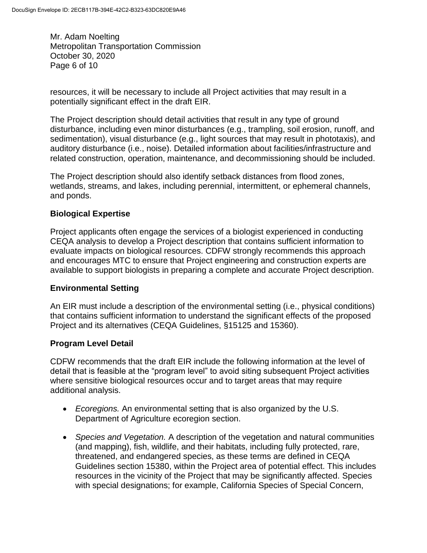Mr. Adam Noelting Metropolitan Transportation Commission October 30, 2020 Page 6 of 10

resources, it will be necessary to include all Project activities that may result in a potentially significant effect in the draft EIR.

The Project description should detail activities that result in any type of ground disturbance, including even minor disturbances (e.g., trampling, soil erosion, runoff, and sedimentation), visual disturbance (e.g., light sources that may result in phototaxis), and auditory disturbance (i.e., noise). Detailed information about facilities/infrastructure and related construction, operation, maintenance, and decommissioning should be included.

The Project description should also identify setback distances from flood zones, wetlands, streams, and lakes, including perennial, intermittent, or ephemeral channels, and ponds.

## **Biological Expertise**

Project applicants often engage the services of a biologist experienced in conducting CEQA analysis to develop a Project description that contains sufficient information to evaluate impacts on biological resources. CDFW strongly recommends this approach and encourages MTC to ensure that Project engineering and construction experts are available to support biologists in preparing a complete and accurate Project description.

#### **Environmental Setting**

An EIR must include a description of the environmental setting (i.e., physical conditions) that contains sufficient information to understand the significant effects of the proposed Project and its alternatives (CEQA Guidelines, §15125 and 15360).

#### **Program Level Detail**

CDFW recommends that the draft EIR include the following information at the level of detail that is feasible at the "program level" to avoid siting subsequent Project activities where sensitive biological resources occur and to target areas that may require additional analysis.

- *Ecoregions.* An environmental setting that is also organized by the U.S. Department of Agriculture ecoregion section.
- *Species and Vegetation.* A description of the vegetation and natural communities (and mapping), fish, wildlife, and their habitats, including fully protected, rare, threatened, and endangered species, as these terms are defined in CEQA Guidelines section 15380, within the Project area of potential effect. This includes resources in the vicinity of the Project that may be significantly affected. Species with special designations; for example, California Species of Special Concern,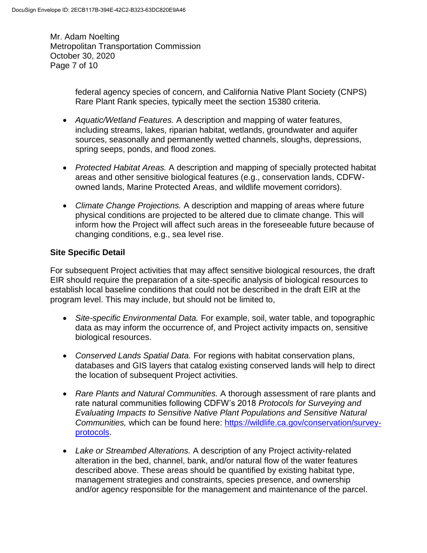Mr. Adam Noelting Metropolitan Transportation Commission October 30, 2020 Page 7 of 10

> federal agency species of concern, and California Native Plant Society (CNPS) Rare Plant Rank species, typically meet the section 15380 criteria.

- *Aquatic/Wetland Features.* A description and mapping of water features, including streams, lakes, riparian habitat, wetlands, groundwater and aquifer sources, seasonally and permanently wetted channels, sloughs, depressions, spring seeps, ponds, and flood zones.
- *Protected Habitat Areas.* A description and mapping of specially protected habitat areas and other sensitive biological features (e.g., conservation lands, CDFWowned lands, Marine Protected Areas, and wildlife movement corridors).
- *Climate Change Projections.* A description and mapping of areas where future physical conditions are projected to be altered due to climate change. This will inform how the Project will affect such areas in the foreseeable future because of changing conditions, e.g., sea level rise.

# **Site Specific Detail**

For subsequent Project activities that may affect sensitive biological resources, the draft EIR should require the preparation of a site-specific analysis of biological resources to establish local baseline conditions that could not be described in the draft EIR at the program level. This may include, but should not be limited to,

- *Site-specific Environmental Data.* For example, soil, water table, and topographic data as may inform the occurrence of, and Project activity impacts on, sensitive biological resources.
- *Conserved Lands Spatial Data.* For regions with habitat conservation plans, databases and GIS layers that catalog existing conserved lands will help to direct the location of subsequent Project activities.
- *Rare Plants and Natural Communities.* A thorough assessment of rare plants and rate natural communities following CDFW's 2018 *Protocols for Surveying and Evaluating Impacts to Sensitive Native Plant Populations and Sensitive Natural Communities,* which can be found here: [https://wildlife.ca.gov/conservation/survey](https://wildlife.ca.gov/conservation/survey-protocols)[protocols.](https://wildlife.ca.gov/conservation/survey-protocols)
- *Lake or Streambed Alterations.* A description of any Project activity-related alteration in the bed, channel, bank, and/or natural flow of the water features described above. These areas should be quantified by existing habitat type, management strategies and constraints, species presence, and ownership and/or agency responsible for the management and maintenance of the parcel.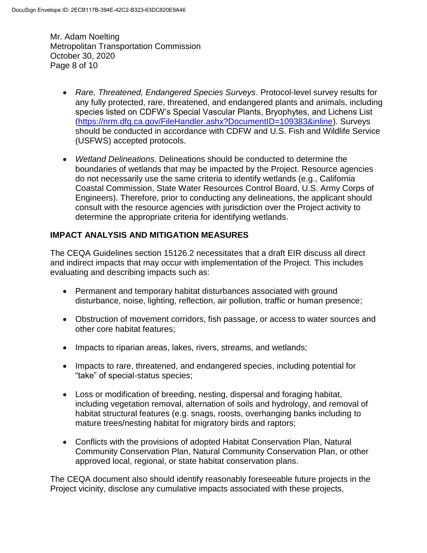Mr. Adam Noelting Metropolitan Transportation Commission October 30, 2020 Page 8 of 10

- *Rare, Threatened, Endangered Species Surveys*. Protocol-level survey results for any fully protected, rare, threatened, and endangered plants and animals, including species listed on CDFW's Special Vascular Plants, Bryophytes, and Lichens List [\(https://nrm.dfg.ca.gov/FileHandler.ashx?DocumentID=109383&inline\)](https://nrm.dfg.ca.gov/FileHandler.ashx?DocumentID=109383&inline). Surveys should be conducted in accordance with CDFW and U.S. Fish and Wildlife Service (USFWS) accepted protocols.
- *Wetland Delineations.* Delineations should be conducted to determine the boundaries of wetlands that may be impacted by the Project. Resource agencies do not necessarily use the same criteria to identify wetlands (e.g., California Coastal Commission, State Water Resources Control Board, U.S. Army Corps of Engineers). Therefore, prior to conducting any delineations, the applicant should consult with the resource agencies with jurisdiction over the Project activity to determine the appropriate criteria for identifying wetlands.

# **IMPACT ANALYSIS AND MITIGATION MEASURES**

The CEQA Guidelines section 15126.2 necessitates that a draft EIR discuss all direct and indirect impacts that may occur with implementation of the Project. This includes evaluating and describing impacts such as:

- Permanent and temporary habitat disturbances associated with ground disturbance, noise, lighting, reflection, air pollution, traffic or human presence;
- Obstruction of movement corridors, fish passage, or access to water sources and other core habitat features;
- Impacts to riparian areas, lakes, rivers, streams, and wetlands;
- Impacts to rare, threatened, and endangered species, including potential for "take" of special-status species;
- Loss or modification of breeding, nesting, dispersal and foraging habitat, including vegetation removal, alternation of soils and hydrology, and removal of habitat structural features (e.g. snags, roosts, overhanging banks including to mature trees/nesting habitat for migratory birds and raptors;
- Conflicts with the provisions of adopted Habitat Conservation Plan, Natural Community Conservation Plan, Natural Community Conservation Plan, or other approved local, regional, or state habitat conservation plans.

The CEQA document also should identify reasonably foreseeable future projects in the Project vicinity, disclose any cumulative impacts associated with these projects,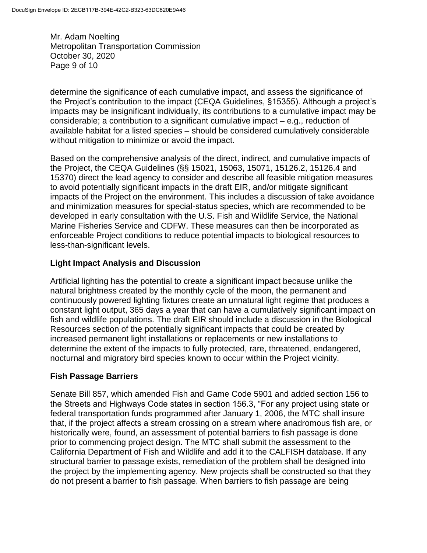Mr. Adam Noelting Metropolitan Transportation Commission October 30, 2020 Page 9 of 10

determine the significance of each cumulative impact, and assess the significance of the Project's contribution to the impact (CEQA Guidelines, §15355). Although a project's impacts may be insignificant individually, its contributions to a cumulative impact may be considerable; a contribution to a significant cumulative impact – e.g., reduction of available habitat for a listed species – should be considered cumulatively considerable without mitigation to minimize or avoid the impact.

Based on the comprehensive analysis of the direct, indirect, and cumulative impacts of the Project, the CEQA Guidelines (§§ 15021, 15063, 15071, 15126.2, 15126.4 and 15370) direct the lead agency to consider and describe all feasible mitigation measures to avoid potentially significant impacts in the draft EIR, and/or mitigate significant impacts of the Project on the environment. This includes a discussion of take avoidance and minimization measures for special-status species, which are recommended to be developed in early consultation with the U.S. Fish and Wildlife Service, the National Marine Fisheries Service and CDFW. These measures can then be incorporated as enforceable Project conditions to reduce potential impacts to biological resources to less-than-significant levels.

#### **Light Impact Analysis and Discussion**

Artificial lighting has the potential to create a significant impact because unlike the natural brightness created by the monthly cycle of the moon, the permanent and continuously powered lighting fixtures create an unnatural light regime that produces a constant light output, 365 days a year that can have a cumulatively significant impact on fish and wildlife populations. The draft EIR should include a discussion in the Biological Resources section of the potentially significant impacts that could be created by increased permanent light installations or replacements or new installations to determine the extent of the impacts to fully protected, rare, threatened, endangered, nocturnal and migratory bird species known to occur within the Project vicinity.

#### **Fish Passage Barriers**

Senate Bill 857, which amended Fish and Game Code 5901 and added section 156 to the Streets and Highways Code states in section 156.3, "For any project using state or federal transportation funds programmed after January 1, 2006, the MTC shall insure that, if the project affects a stream crossing on a stream where anadromous fish are, or historically were, found, an assessment of potential barriers to fish passage is done prior to commencing project design. The MTC shall submit the assessment to the California Department of Fish and Wildlife and add it to the CALFISH database. If any structural barrier to passage exists, remediation of the problem shall be designed into the project by the implementing agency. New projects shall be constructed so that they do not present a barrier to fish passage. When barriers to fish passage are being